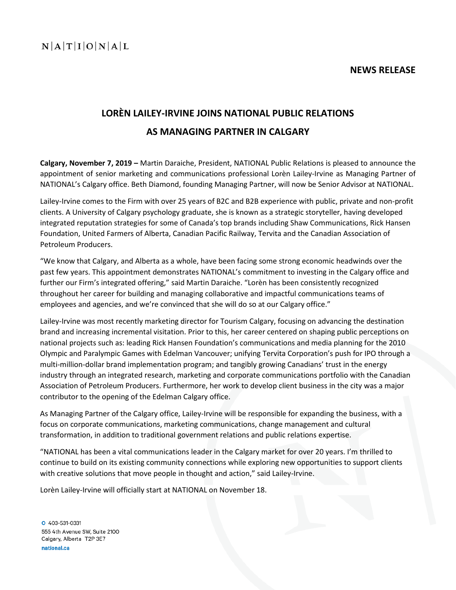**NEWS RELEASE**

## **LORÈN LAILEY-IRVINE JOINS NATIONAL PUBLIC RELATIONS AS MANAGING PARTNER IN CALGARY**

**Calgary, November 7, 2019 –** Martin Daraiche, President, NATIONAL Public Relations is pleased to announce the appointment of senior marketing and communications professional Lorèn Lailey-Irvine as Managing Partner of NATIONAL's Calgary office. Beth Diamond, founding Managing Partner, will now be Senior Advisor at NATIONAL.

Lailey-Irvine comes to the Firm with over 25 years of B2C and B2B experience with public, private and non-profit clients. A University of Calgary psychology graduate, she is known as a strategic storyteller, having developed integrated reputation strategies for some of Canada's top brands including Shaw Communications, Rick Hansen Foundation, United Farmers of Alberta, Canadian Pacific Railway, Tervita and the Canadian Association of Petroleum Producers.

"We know that Calgary, and Alberta as a whole, have been facing some strong economic headwinds over the past few years. This appointment demonstrates NATIONAL's commitment to investing in the Calgary office and further our Firm's integrated offering," said Martin Daraiche. "Lorèn has been consistently recognized throughout her career for building and managing collaborative and impactful communications teams of employees and agencies, and we're convinced that she will do so at our Calgary office."

Lailey-Irvine was most recently marketing director for Tourism Calgary, focusing on advancing the destination brand and increasing incremental visitation. Prior to this, her career centered on shaping public perceptions on national projects such as: leading Rick Hansen Foundation's communications and media planning for the 2010 Olympic and Paralympic Games with Edelman Vancouver; unifying Tervita Corporation's push for IPO through a multi-million-dollar brand implementation program; and tangibly growing Canadians' trust in the energy industry through an integrated research, marketing and corporate communications portfolio with the Canadian Association of Petroleum Producers. Furthermore, her work to develop client business in the city was a major contributor to the opening of the Edelman Calgary office.

As Managing Partner of the Calgary office, Lailey-Irvine will be responsible for expanding the business, with a focus on corporate communications, marketing communications, change management and cultural transformation, in addition to traditional government relations and public relations expertise.

"NATIONAL has been a vital communications leader in the Calgary market for over 20 years. I'm thrilled to continue to build on its existing community connections while exploring new opportunities to support clients with creative solutions that move people in thought and action," said Lailey-Irvine.

Lorèn Lailey-Irvine will officially start at NATIONAL on November 18.

O 403-531-0331 555 4th Avenue SW, Suite 2100 Calgary, Alberta T2P 3E7 national.ca